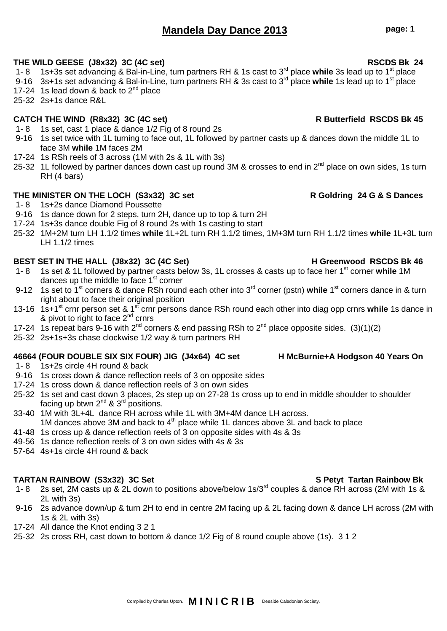# **Mandela Day Dance 2013 page: 1**

- **THE WILD GEESE (J8x32) 3C (4C set) RSCDS Bk 24** 1- 8 1s+3s set advancing & Bal-in-Line, turn partners RH & 1s cast to 3rd place **while** 3s lead up to 1st place
- 9-16 3s+1s set advancing & Bal-in-Line, turn partners RH & 3s cast to 3rd place **while** 1s lead up to 1st place
- 17-24 1s lead down & back to  $2^{nd}$  place
- 25-32 2s+1s dance R&L

# **CATCH THE WIND (R8x32) 3C (4C set) R Butterfield RSCDS Bk 45**

- 1- 8 1s set, cast 1 place & dance 1/2 Fig of 8 round 2s
- 9-16 1s set twice with 1L turning to face out, 1L followed by partner casts up & dances down the middle 1L to face 3M **while** 1M faces 2M
- 17-24 1s RSh reels of 3 across (1M with 2s & 1L with 3s)
- 25-32 1L followed by partner dances down cast up round 3M & crosses to end in  $2^{nd}$  place on own sides, 1s turn RH (4 bars)

# **THE MINISTER ON THE LOCH (S3x32) 3C set R Goldring 24 G & S Dances**

- 1- 8 1s+2s dance Diamond Poussette
- 9-16 1s dance down for 2 steps, turn 2H, dance up to top & turn 2H
- 17-24 1s+3s dance double Fig of 8 round 2s with 1s casting to start
- 25-32 1M+2M turn LH 1.1/2 times **while** 1L+2L turn RH 1.1/2 times, 1M+3M turn RH 1.1/2 times **while** 1L+3L turn LH 1.1/2 times

### BEST SET IN THE HALL (J8x32) 3C (4C Set) **H** Greenwood RSCDS Bk 46

- 1- 8 1s set & 1L followed by partner casts below 3s, 1L crosses & casts up to face her 1st corner **while** 1M dances up the middle to face  $1<sup>st</sup>$  corner
- 9-12 1s set to 1<sup>st</sup> corners & dance RSh round each other into 3<sup>rd</sup> corner (pstn) while 1<sup>st</sup> corners dance in & turn right about to face their original position
- 13-16 1s+1st crnr person set & 1st crnr persons dance RSh round each other into diag opp crnrs **while** 1s dance in & pivot to right to face  $2^{nd}$  crnrs
- 17-24 1s repeat bars 9-16 with  $2^{nd}$  corners & end passing RSh to  $2^{nd}$  place opposite sides. (3)(1)(2)
- 25-32 2s+1s+3s chase clockwise 1/2 way & turn partners RH

### **46664 (FOUR DOUBLE SIX SIX FOUR) JIG (J4x64) 4C set H McBurnie+A Hodgson 40 Years On**

- 1- 8 1s+2s circle 4H round & back
- 9-16 1s cross down & dance reflection reels of 3 on opposite sides
- 17-24 1s cross down & dance reflection reels of 3 on own sides
- 25-32 1s set and cast down 3 places, 2s step up on 27-28 1s cross up to end in middle shoulder to shoulder facing up btwn 2 $^{\text{nd}}$  & 3 $^{\text{rd}}$  positions.
- 33-40 1M with 3L+4L dance RH across while 1L with 3M+4M dance LH across. 1M dances above 3M and back to  $4<sup>th</sup>$  place while 1L dances above 3L and back to place
- 41-48 1s cross up & dance reflection reels of 3 on opposite sides with 4s & 3s
- 49-56 1s dance reflection reels of 3 on own sides with 4s & 3s
- 57-64 4s+1s circle 4H round & back

## **TARTAN RAINBOW (S3x32) 3C Set S Petyt Tartan Rainbow Bk**

- 1- 8 2s set, 2M casts up & 2L down to positions above/below 1s/3rd couples & dance RH across (2M with 1s & 2L with 3s)
- 9-16 2s advance down/up & turn 2H to end in centre 2M facing up & 2L facing down & dance LH across (2M with 1s & 2L with 3s)
- 17-24 All dance the Knot ending 3 2 1
- 25-32 2s cross RH, cast down to bottom & dance 1/2 Fig of 8 round couple above (1s). 3 1 2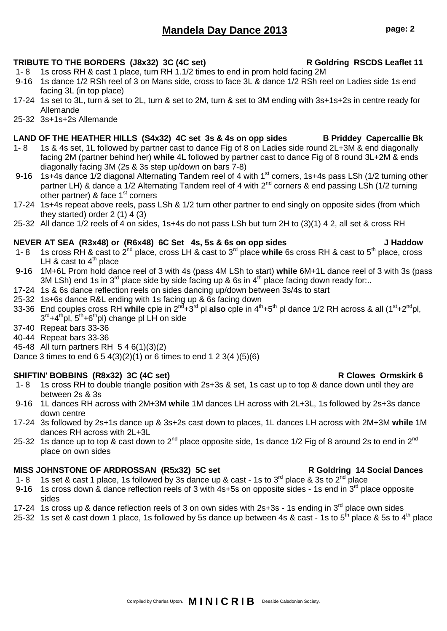# **Mandela Day Dance 2013 page: 2**

### **TRIBUTE TO THE BORDERS (J8x32) 3C (4C set) R Goldring RSCDS Leaflet 11**

- 1- 8 1s cross RH & cast 1 place, turn RH 1.1/2 times to end in prom hold facing 2M
- 9-16 1s dance 1/2 RSh reel of 3 on Mans side, cross to face 3L & dance 1/2 RSh reel on Ladies side 1s end facing 3L (in top place)
- 17-24 1s set to 3L, turn & set to 2L, turn & set to 2M, turn & set to 3M ending with 3s+1s+2s in centre ready for Allemande
- 25-32 3s+1s+2s Allemande

### **LAND OF THE HEATHER HILLS (S4x32) 4C set 3s & 4s on opp sides B Priddey Capercallie Bk**

- 1- 8 1s & 4s set, 1L followed by partner cast to dance Fig of 8 on Ladies side round 2L+3M & end diagonally facing 2M (partner behind her) **while** 4L followed by partner cast to dance Fig of 8 round 3L+2M & ends diagonally facing 3M (2s & 3s step up/down on bars 7-8)
- 9-16 1s+4s dance 1/2 diagonal Alternating Tandem reel of 4 with 1<sup>st</sup> corners, 1s+4s pass LSh (1/2 turning other partner LH) & dance a 1/2 Alternating Tandem reel of 4 with 2<sup>nd</sup> corners & end passing LSh (1/2 turning other partner) & face 1<sup>st</sup> corners
- 17-24 1s+4s repeat above reels, pass LSh & 1/2 turn other partner to end singly on opposite sides (from which they started) order 2 (1) 4 (3)
- 25-32 All dance 1/2 reels of 4 on sides, 1s+4s do not pass LSh but turn 2H to (3)(1) 4 2, all set & cross RH

### **NEVER AT SEA (R3x48) or (R6x48) 6C Set 4s, 5s & 6s on opp sides J Haddow**

- 1- 8 1s cross RH & cast to 2nd place, cross LH & cast to 3rd place **while** 6s cross RH & cast to 5th place, cross LH & cast to  $4<sup>th</sup>$  place
- 9-16 1M+6L Prom hold dance reel of 3 with 4s (pass 4M LSh to start) **while** 6M+1L dance reel of 3 with 3s (pass 3M LSh) end 1s in 3<sup>rd</sup> place side by side facing up & 6s in 4<sup>th</sup> place facing down ready for...
- 17-24 1s & 6s dance reflection reels on sides dancing up/down between 3s/4s to start
- 25-32 1s+6s dance R&L ending with 1s facing up & 6s facing down
- 33-36 End couples cross RH **while** cple in 2nd+3rd pl **also** cple in 4th+5th pl dance 1/2 RH across & all (1st+2ndpl, 3<sup>rd</sup>+4<sup>th</sup>pl, 5<sup>th</sup>+6<sup>th</sup>pl) change pl LH on side
- 37-40 Repeat bars 33-36
- 40-44 Repeat bars 33-36
- 45-48 All turn partners RH 5 4 6(1)(3)(2)
- Dance 3 times to end  $6\ 5\ 4(3)(2)(1)$  or 6 times to end  $1\ 2\ 3(4)(5)(6)$

### **SHIFTIN' BOBBINS (R8x32) 3C (4C set) R Clowes Ormskirk 6**

- 1- 8 1s cross RH to double triangle position with 2s+3s & set, 1s cast up to top & dance down until they are between 2s & 3s
- 9-16 1L dances RH across with 2M+3M **while** 1M dances LH across with 2L+3L, 1s followed by 2s+3s dance down centre
- 17-24 3s followed by 2s+1s dance up & 3s+2s cast down to places, 1L dances LH across with 2M+3M **while** 1M dances RH across with 2L+3L
- 25-32 1s dance up to top & cast down to  $2^{nd}$  place opposite side, 1s dance 1/2 Fig of 8 around 2s to end in  $2^{nd}$ place on own sides

### **MISS JOHNSTONE OF ARDROSSAN (R5x32) 5C set Resoluting 14 Social Dances**

- 1- 8 1s set & cast 1 place, 1s followed by 3s dance up & cast 1s to  $3^{rd}$  place & 3s to  $2^{nd}$  place
- 9-16 1s cross down & dance reflection reels of 3 with 4s+5s on opposite sides 1s end in 3<sup>rd</sup> place opposite sides
- 17-24 1s cross up & dance reflection reels of 3 on own sides with  $2s+3s$  1s ending in  $3<sup>rd</sup>$  place own sides
- 25-32 1s set & cast down 1 place, 1s followed by 5s dance up between 4s & cast 1s to 5<sup>th</sup> place & 5s to 4<sup>th</sup> place